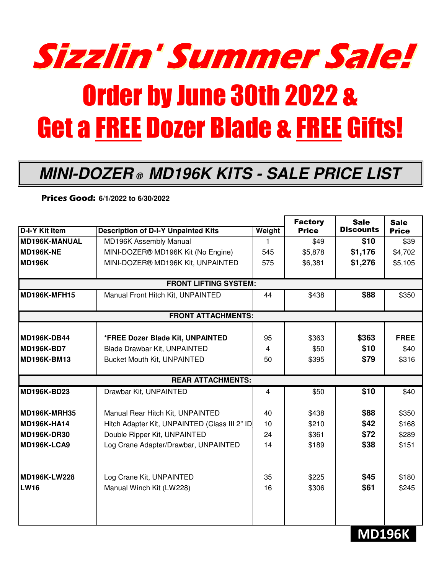

## Order by June 30th 2022 & Get a FREE Dozer Blade & FREE Gifts!

## **MINI-DOZER ® MD196K KITS - SALE PRICE LIST**

**Prices Good: 6/1/2022 to 6/30/2022**

|                              |                                               |        | <b>Factory</b> | <b>Sale</b>      | <b>Sale</b>  |  |  |  |  |
|------------------------------|-----------------------------------------------|--------|----------------|------------------|--------------|--|--|--|--|
| <b>D-I-Y Kit Item</b>        | <b>Description of D-I-Y Unpainted Kits</b>    | Weight | <b>Price</b>   | <b>Discounts</b> | <b>Price</b> |  |  |  |  |
| MD196K-MANUAL                | MD196K Assembly Manual                        | 1      | \$49           | \$10             | \$39         |  |  |  |  |
| MD196K-NE                    | MINI-DOZER® MD196K Kit (No Engine)            | 545    | \$5,878        | \$1,176          | \$4,702      |  |  |  |  |
| <b>MD196K</b>                | MINI-DOZER® MD196K Kit, UNPAINTED             | 575    | \$6,381        | \$1,276          | \$5,105      |  |  |  |  |
| <b>FRONT LIFTING SYSTEM:</b> |                                               |        |                |                  |              |  |  |  |  |
| MD196K-MFH15                 | Manual Front Hitch Kit, UNPAINTED             | 44     | \$438          | \$88             | \$350        |  |  |  |  |
| <b>FRONT ATTACHMENTS:</b>    |                                               |        |                |                  |              |  |  |  |  |
| <b>MD196K-DB44</b>           | *FREE Dozer Blade Kit, UNPAINTED              | 95     | \$363          | \$363            | <b>FREE</b>  |  |  |  |  |
| MD196K-BD7                   | Blade Drawbar Kit, UNPAINTED                  | 4      | \$50           | \$10             | \$40         |  |  |  |  |
|                              |                                               |        |                |                  |              |  |  |  |  |
| <b>MD196K-BM13</b>           | <b>Bucket Mouth Kit, UNPAINTED</b>            | 50     | \$395          | \$79             | \$316        |  |  |  |  |
| <b>REAR ATTACHMENTS:</b>     |                                               |        |                |                  |              |  |  |  |  |
| <b>MD196K-BD23</b>           | Drawbar Kit, UNPAINTED                        | 4      | \$50           | \$10             | \$40         |  |  |  |  |
| MD196K-MRH35                 | Manual Rear Hitch Kit, UNPAINTED              | 40     | \$438          | \$88             | \$350        |  |  |  |  |
| MD196K-HA14                  | Hitch Adapter Kit, UNPAINTED (Class III 2" ID | 10     | \$210          | \$42             | \$168        |  |  |  |  |
| <b>MD196K-DR30</b>           | Double Ripper Kit, UNPAINTED                  | 24     | \$361          | \$72             | \$289        |  |  |  |  |
| MD196K-LCA9                  | Log Crane Adapter/Drawbar, UNPAINTED          | 14     | \$189          | \$38             | \$151        |  |  |  |  |
| MD196K-LW228                 | Log Crane Kit, UNPAINTED                      | 35     | \$225          | \$45             | \$180        |  |  |  |  |
| <b>LW16</b>                  |                                               | 16     | \$306          | \$61             |              |  |  |  |  |
|                              | Manual Winch Kit (LW228)                      |        |                |                  | \$245        |  |  |  |  |
|                              |                                               |        |                |                  |              |  |  |  |  |

## **MD196K**